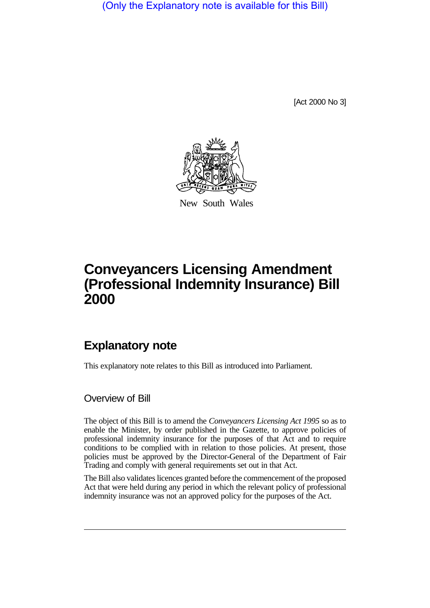(Only the Explanatory note is available for this Bill)

[Act 2000 No 3]



New South Wales

# **Conveyancers Licensing Amendment (Professional Indemnity Insurance) Bill 2000**

## **Explanatory note**

This explanatory note relates to this Bill as introduced into Parliament.

#### Overview of Bill

The object of this Bill is to amend the *Conveyancers Licensing Act 1995* so as to enable the Minister, by order published in the Gazette, to approve policies of professional indemnity insurance for the purposes of that Act and to require conditions to be complied with in relation to those policies. At present, those policies must be approved by the Director-General of the Department of Fair Trading and comply with general requirements set out in that Act.

The Bill also validates licences granted before the commencement of the proposed Act that were held during any period in which the relevant policy of professional indemnity insurance was not an approved policy for the purposes of the Act.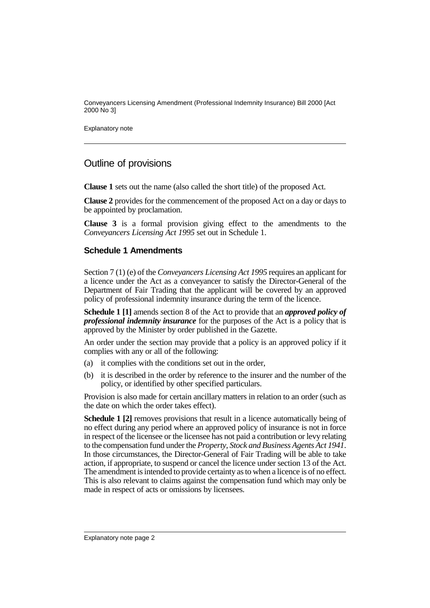Conveyancers Licensing Amendment (Professional Indemnity Insurance) Bill 2000 [Act 2000 No 3]

Explanatory note

### Outline of provisions

**Clause 1** sets out the name (also called the short title) of the proposed Act.

**Clause 2** provides for the commencement of the proposed Act on a day or days to be appointed by proclamation.

**Clause 3** is a formal provision giving effect to the amendments to the *Conveyancers Licensing Act 1995* set out in Schedule 1.

#### **Schedule 1 Amendments**

Section 7 (1) (e) of the *Conveyancers Licensing Act 1995* requires an applicant for a licence under the Act as a conveyancer to satisfy the Director-General of the Department of Fair Trading that the applicant will be covered by an approved policy of professional indemnity insurance during the term of the licence.

**Schedule 1 [1]** amends section 8 of the Act to provide that an *approved policy of professional indemnity insurance* for the purposes of the Act is a policy that is approved by the Minister by order published in the Gazette.

An order under the section may provide that a policy is an approved policy if it complies with any or all of the following:

- (a) it complies with the conditions set out in the order,
- (b) it is described in the order by reference to the insurer and the number of the policy, or identified by other specified particulars.

Provision is also made for certain ancillary matters in relation to an order (such as the date on which the order takes effect).

**Schedule 1 [2]** removes provisions that result in a licence automatically being of no effect during any period where an approved policy of insurance is not in force in respect of the licensee or the licensee has not paid a contribution or levy relating to the compensation fund under the *Property, Stock and Business Agents Act 1941*. In those circumstances, the Director-General of Fair Trading will be able to take action, if appropriate, to suspend or cancel the licence under section 13 of the Act. The amendment is intended to provide certainty as to when a licence is of no effect. This is also relevant to claims against the compensation fund which may only be made in respect of acts or omissions by licensees.